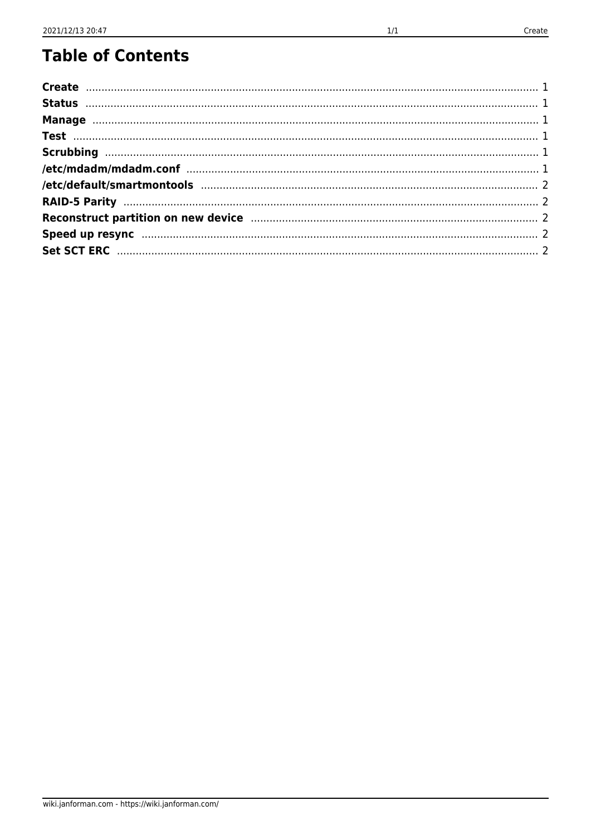### **Table of Contents**

| Reconstruct partition on new device manufacture and container and the construct partition on new device manufacture |  |
|---------------------------------------------------------------------------------------------------------------------|--|
|                                                                                                                     |  |
|                                                                                                                     |  |

 $1/1$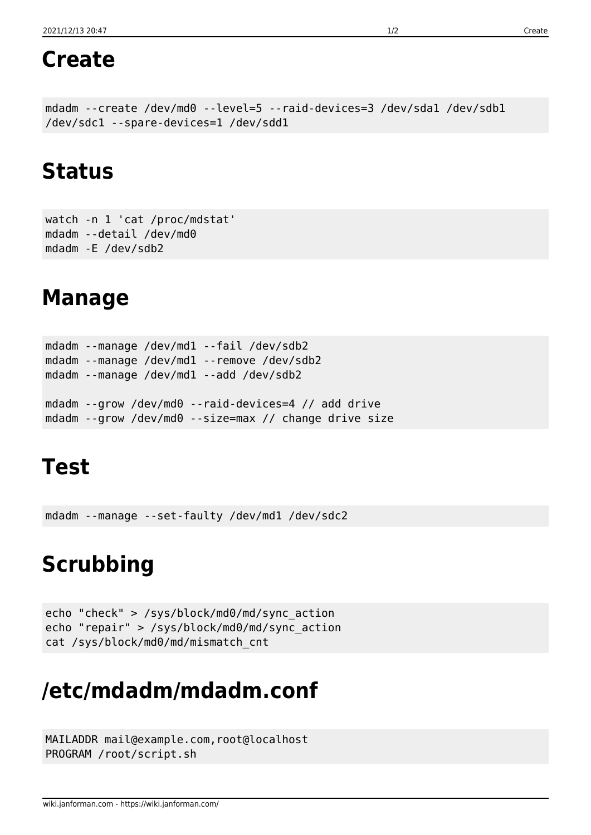MAILADDR mail@example.com,root@localhost PROGRAM /root/script.sh

<span id="page-1-5"></span>**/etc/mdadm/mdadm.conf**

### wiki.janforman.com - https://wiki.janforman.com/

```
Create
```

```
mdadm --create /dev/md0 --level=5 --raid-devices=3 /dev/sda1 /dev/sdb1
/dev/sdc1 --spare-devices=1 /dev/sdd1
```
### <span id="page-1-1"></span>**Status**

watch -n 1 'cat /proc/mdstat' mdadm --detail /dev/md0 mdadm -E /dev/sdb2

### <span id="page-1-2"></span>**Manage**

```
mdadm --manage /dev/md1 --fail /dev/sdb2
mdadm --manage /dev/md1 --remove /dev/sdb2
mdadm --manage /dev/md1 --add /dev/sdb2
mdadm --grow /dev/md0 --raid-devices=4 // add drive
mdadm --grow /dev/md0 --size=max // change drive size
```
### <span id="page-1-3"></span>**Test**

mdadm --manage --set-faulty /dev/md1 /dev/sdc2

## <span id="page-1-4"></span>**Scrubbing**

```
echo "check" > /sys/block/md0/md/sync_action
echo "repair" > /sys/block/md0/md/sync_action
cat /sys/block/md0/md/mismatch cnt
```